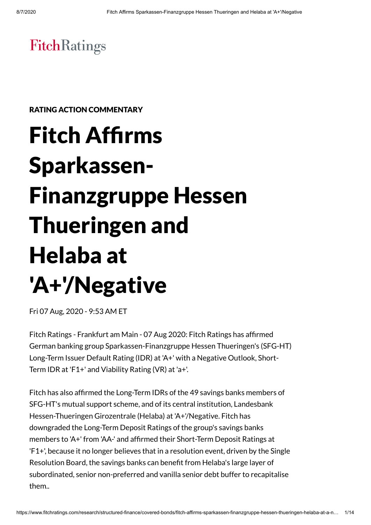# **FitchRatings**

#### RATING ACTION COMMENTARY

# Fitch Affirms Sparkassen-Finanzgruppe Hessen Thueringen and Helaba at 'A+'/Negative

Fri 07 Aug, 2020 - 9:53 AM ET

Fitch Ratings - Frankfurt am Main - 07 Aug 2020: Fitch Ratings has affirmed German banking group Sparkassen-Finanzgruppe Hessen Thueringen's (SFG-HT) Long-Term Issuer Default Rating (IDR) at 'A+' with a Negative Outlook, Short-Term IDR at 'F1+' and Viability Rating (VR) at 'a+'.

Fitch has also affirmed the Long-Term IDRs of the 49 savings banks members of SFG-HT's mutual support scheme, and of its central institution, Landesbank Hessen-Thueringen Girozentrale (Helaba) at 'A+'/Negative. Fitch has downgraded the Long-Term Deposit Ratings of the group's savings banks members to 'A+' from 'AA-' and affirmed their Short-Term Deposit Ratings at 'F1+', because it no longer believes that in a resolution event, driven by the Single Resolution Board, the savings banks can benefit from Helaba's large layer of subordinated, senior non-preferred and vanilla senior debt buffer to recapitalise them..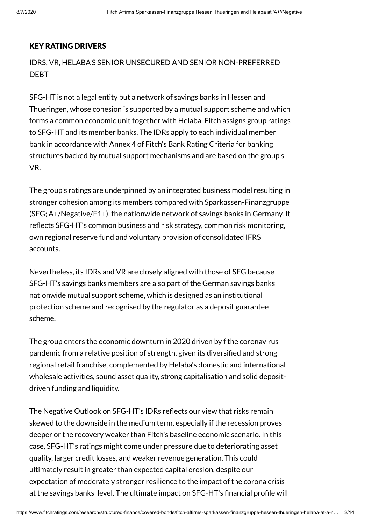#### KEY RATING DRIVERS

IDRS, VR, HELABA'S SENIOR UNSECURED AND SENIOR NON-PREFERRED DEBT

SFG-HT is not a legal entity but a network of savings banks in Hessen and Thueringen, whose cohesion is supported by a mutual support scheme and which forms a common economic unit together with Helaba. Fitch assigns group ratings to SFG-HT and its member banks. The IDRs apply to each individual member bank in accordance with Annex 4 of Fitch's Bank Rating Criteria for banking structures backed by mutual support mechanisms and are based on the group's VR.

The group's ratings are underpinned by an integrated business model resulting in stronger cohesion among its members compared with Sparkassen-Finanzgruppe (SFG; A+/Negative/F1+), the nationwide network of savings banks in Germany. It reflects SFG-HT's common business and risk strategy, common risk monitoring, own regional reserve fund and voluntary provision of consolidated IFRS accounts.

Nevertheless, its IDRs and VR are closely aligned with those of SFG because SFG-HT's savings banks members are also part of the German savings banks' nationwide mutual support scheme, which is designed as an institutional protection scheme and recognised by the regulator as a deposit guarantee scheme.

The group enters the economic downturn in 2020 driven by f the coronavirus pandemic from a relative position of strength, given its diversified and strong regional retail franchise, complemented by Helaba's domestic and international wholesale activities, sound asset quality, strong capitalisation and solid depositdriven funding and liquidity.

The Negative Outlook on SFG-HT's IDRs reflects our view that risks remain skewed to the downside in the medium term, especially if the recession proves deeper or the recovery weaker than Fitch's baseline economic scenario. In this case, SFG-HT's ratings might come under pressure due to deteriorating asset quality, larger credit losses, and weaker revenue generation. This could ultimately result in greater than expected capital erosion, despite our expectation of moderately stronger resilience to the impact of the corona crisis at the savings banks' level. The ultimate impact on SFG-HT's financial profile will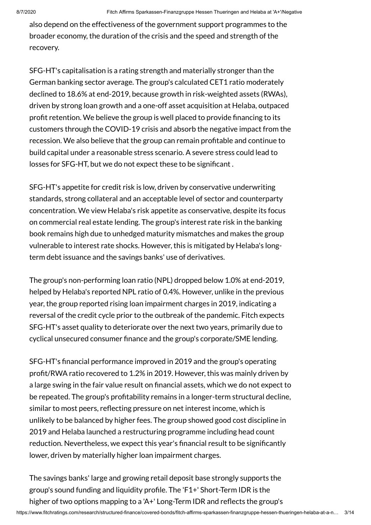also depend on the effectiveness of the government support programmes to the broader economy, the duration of the crisis and the speed and strength of the recovery.

SFG-HT's capitalisation is a rating strength and materially stronger than the German banking sector average. The group's calculated CET1 ratio moderately declined to 18.6% at end-2019, because growth in risk-weighted assets (RWAs), driven by strong loan growth and a one-off asset acquisition at Helaba, outpaced profit retention. We believe the group is well placed to provide financing to its customers through the COVID-19 crisis and absorb the negative impact from the recession. We also believe that the group can remain profitable and continue to build capital under a reasonable stress scenario. A severe stress could lead to losses for SFG-HT, but we do not expect these to be significant .

SFG-HT's appetite for credit risk is low, driven by conservative underwriting standards, strong collateral and an acceptable level of sector and counterparty concentration. We view Helaba's risk appetite as conservative, despite its focus on commercial real estate lending. The group's interest rate risk in the banking book remains high due to unhedged maturity mismatches and makes the group vulnerable to interest rate shocks. However, this is mitigated by Helaba's longterm debt issuance and the savings banks' use of derivatives.

The group's non-performing loan ratio (NPL) dropped below 1.0% at end-2019, helped by Helaba's reported NPL ratio of 0.4%. However, unlike in the previous year, the group reported rising loan impairment charges in 2019, indicating a reversal of the credit cycle prior to the outbreak of the pandemic. Fitch expects SFG-HT's asset quality to deteriorate over the next two years, primarily due to cyclical unsecured consumer finance and the group's corporate/SME lending.

SFG-HT's financial performance improved in 2019 and the group's operating profit/RWA ratio recovered to 1.2% in 2019. However, this was mainly driven by a large swing in the fair value result on financial assets, which we do not expect to be repeated. The group's profitability remains in a longer-term structural decline, similar to most peers, reflecting pressure on net interest income, which is unlikely to be balanced by higher fees. The group showed good cost discipline in 2019 and Helaba launched a restructuring programme including head count reduction. Nevertheless, we expect this year's financial result to be significantly lower, driven by materially higher loan impairment charges.

The savings banks' large and growing retail deposit base strongly supports the group's sound funding and liquidity profile. The 'F1+' Short-Term IDR is the higher of two options mapping to a 'A+' Long-Term IDR and reflects the group's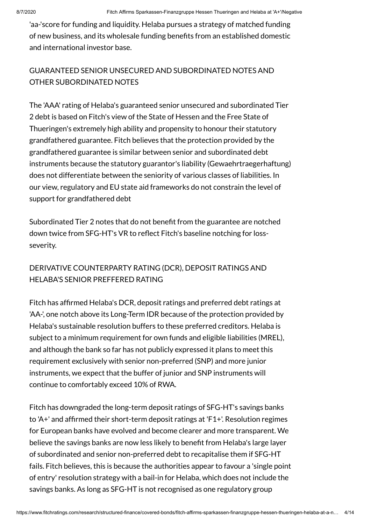'aa-'score for funding and liquidity. Helaba pursues a strategy of matched funding of new business, and its wholesale funding benefits from an established domestic and international investor base.

# GUARANTEED SENIOR UNSECURED AND SUBORDINATED NOTES AND OTHER SUBORDINATED NOTES

The 'AAA' rating of Helaba's guaranteed senior unsecured and subordinated Tier 2 debt is based on Fitch's view of the State of Hessen and the Free State of Thueringen's extremely high ability and propensity to honour their statutory grandfathered guarantee. Fitch believes that the protection provided by the grandfathered guarantee is similar between senior and subordinated debt instruments because the statutory guarantor's liability (Gewaehrtraegerhaftung) does not differentiate between the seniority of various classes of liabilities. In our view, regulatory and EU state aid frameworks do not constrain the level of support for grandfathered debt

Subordinated Tier 2 notes that do not benefit from the guarantee are notched down twice from SFG-HT's VR to reflect Fitch's baseline notching for lossseverity.

# DERIVATIVE COUNTERPARTY RATING (DCR), DEPOSIT RATINGS AND HELABA'S SENIOR PREFFERED RATING

Fitch has affirmed Helaba's DCR, deposit ratings and preferred debt ratings at 'AA-', one notch above its Long-Term IDR because of the protection provided by Helaba's sustainable resolution buffers to these preferred creditors. Helaba is subject to a minimum requirement for own funds and eligible liabilities (MREL), and although the bank so far has not publicly expressed it plans to meet this requirement exclusively with senior non-preferred (SNP) and more junior instruments, we expect that the buffer of junior and SNP instruments will continue to comfortably exceed 10% of RWA.

Fitch has downgraded the long-term deposit ratings of SFG-HT's savings banks to 'A+' and affirmed their short-term deposit ratings at 'F1+'. Resolution regimes for European banks have evolved and become clearer and more transparent. We believe the savings banks are now less likely to benefit from Helaba's large layer of subordinated and senior non-preferred debt to recapitalise them if SFG-HT fails. Fitch believes, this is because the authorities appear to favour a 'single point of entry' resolution strategy with a bail-in for Helaba, which does not include the savings banks. As long as SFG-HT is not recognised as one regulatory group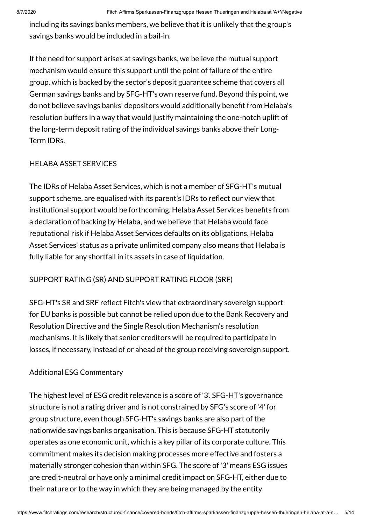including its savings banks members, we believe that it is unlikely that the group's savings banks would be included in a bail-in.

If the need for support arises at savings banks, we believe the mutual support mechanism would ensure this support until the point of failure of the entire group, which is backed by the sector's deposit guarantee scheme that covers all German savings banks and by SFG-HT's own reserve fund. Beyond this point, we do not believe savings banks' depositors would additionally benefit from Helaba's resolution buffers in a way that would justify maintaining the one-notch uplift of the long-term deposit rating of the individual savings banks above their Long-Term IDRs.

#### HELABA ASSET SERVICES

The IDRs of Helaba Asset Services, which is not a member of SFG-HT's mutual support scheme, are equalised with its parent's IDRs to reflect our view that institutional support would be forthcoming. Helaba Asset Services benefits from a declaration of backing by Helaba, and we believe that Helaba would face reputational risk if Helaba Asset Services defaults on its obligations. Helaba Asset Services' status as a private unlimited company also means that Helaba is fully liable for any shortfall in its assets in case of liquidation.

#### SUPPORT RATING (SR) AND SUPPORT RATING FLOOR (SRF)

SFG-HT's SR and SRF reflect Fitch's view that extraordinary sovereign support for EU banks is possible but cannot be relied upon due to the Bank Recovery and Resolution Directive and the Single Resolution Mechanism's resolution mechanisms. It is likely that senior creditors will be required to participate in losses, if necessary, instead of or ahead of the group receiving sovereign support.

#### Additional ESG Commentary

The highest level of ESG credit relevance is a score of '3'. SFG-HT's governance structure is not a rating driver and is not constrained by SFG's score of '4' for group structure, even though SFG-HT's savings banks are also part of the nationwide savings banks organisation. This is because SFG-HT statutorily operates as one economic unit, which is a key pillar of its corporate culture. This commitment makes its decision making processes more effective and fosters a materially stronger cohesion than within SFG. The score of '3' means ESG issues are credit-neutral or have only a minimal credit impact on SFG-HT, either due to their nature or to the way in which they are being managed by the entity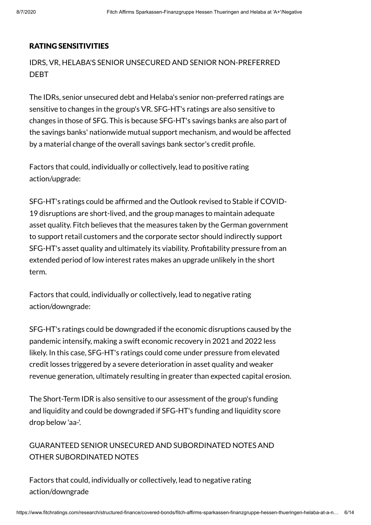#### RATING SENSITIVITIES

IDRS, VR, HELABA'S SENIOR UNSECURED AND SENIOR NON-PREFERRED DEBT

The IDRs, senior unsecured debt and Helaba's senior non-preferred ratings are sensitive to changes in the group's VR. SFG-HT's ratings are also sensitive to changes in those of SFG. This is because SFG-HT's savings banks are also part of the savings banks' nationwide mutual support mechanism, and would be affected by a material change of the overall savings bank sector's credit profile.

Factors that could, individually or collectively, lead to positive rating action/upgrade:

SFG-HT's ratings could be affirmed and the Outlook revised to Stable if COVID-19 disruptions are short-lived, and the group manages to maintain adequate asset quality. Fitch believes that the measures taken by the German government to support retail customers and the corporate sector should indirectly support SFG-HT's asset quality and ultimately its viability. Profitability pressure from an extended period of low interest rates makes an upgrade unlikely in the short term.

Factors that could, individually or collectively, lead to negative rating action/downgrade:

SFG-HT's ratings could be downgraded if the economic disruptions caused by the pandemic intensify, making a swift economic recovery in 2021 and 2022 less likely. In this case, SFG-HT's ratings could come under pressure from elevated credit losses triggered by a severe deterioration in asset quality and weaker revenue generation, ultimately resulting in greater than expected capital erosion.

The Short-Term IDR is also sensitive to our assessment of the group's funding and liquidity and could be downgraded if SFG-HT's funding and liquidity score drop below 'aa-'.

# GUARANTEED SENIOR UNSECURED AND SUBORDINATED NOTES AND OTHER SUBORDINATED NOTES

Factors that could, individually or collectively, lead to negative rating action/downgrade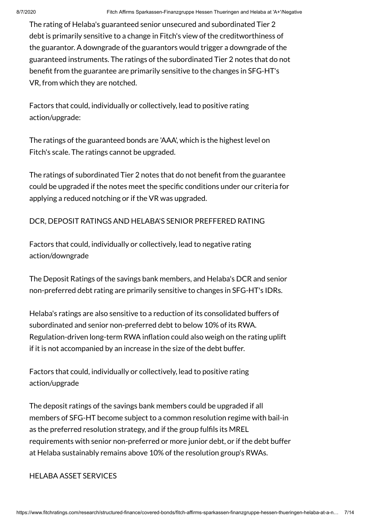The rating of Helaba's guaranteed senior unsecured and subordinated Tier 2 debt is primarily sensitive to a change in Fitch's view of the creditworthiness of the guarantor. A downgrade of the guarantors would trigger a downgrade of the guaranteed instruments. The ratings of the subordinated Tier 2 notes that do not benefit from the guarantee are primarily sensitive to the changes in SFG-HT's VR, from which they are notched.

Factors that could, individually or collectively, lead to positive rating action/upgrade:

The ratings of the guaranteed bonds are 'AAA', which is the highest level on Fitch's scale. The ratings cannot be upgraded.

The ratings of subordinated Tier 2 notes that do not benefit from the guarantee could be upgraded if the notes meet the specific conditions under our criteria for applying a reduced notching or if the VR was upgraded.

# DCR, DEPOSIT RATINGS AND HELABA'S SENIOR PREFFERED RATING

Factors that could, individually or collectively, lead to negative rating action/downgrade

The Deposit Ratings of the savings bank members, and Helaba's DCR and senior non-preferred debt rating are primarily sensitive to changes in SFG-HT's IDRs.

Helaba's ratings are also sensitive to a reduction of its consolidated buffers of subordinated and senior non-preferred debt to below 10% of its RWA. Regulation-driven long-term RWA inflation could also weigh on the rating uplift if it is not accompanied by an increase in the size of the debt buffer.

Factors that could, individually or collectively, lead to positive rating action/upgrade

The deposit ratings of the savings bank members could be upgraded if all members of SFG-HT become subject to a common resolution regime with bail-in as the preferred resolution strategy, and if the group fulfils its MREL requirements with senior non-preferred or more junior debt, or if the debt buffer at Helaba sustainably remains above 10% of the resolution group's RWAs.

#### HELABA ASSET SERVICES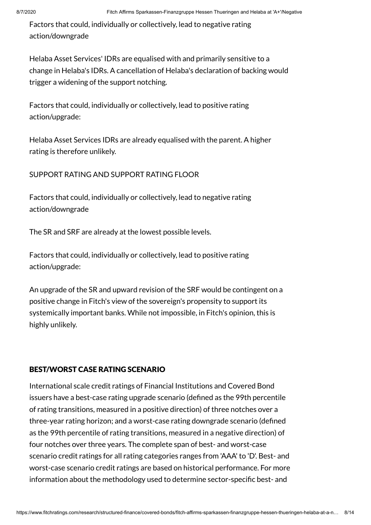Factors that could, individually or collectively, lead to negative rating action/downgrade

Helaba Asset Services' IDRs are equalised with and primarily sensitive to a change in Helaba's IDRs. A cancellation of Helaba's declaration of backing would trigger a widening of the support notching.

Factors that could, individually or collectively, lead to positive rating action/upgrade:

Helaba Asset Services IDRs are already equalised with the parent. A higher rating is therefore unlikely.

#### SUPPORT RATING AND SUPPORT RATING FLOOR

Factors that could, individually or collectively, lead to negative rating action/downgrade

The SR and SRF are already at the lowest possible levels.

Factors that could, individually or collectively, lead to positive rating action/upgrade:

An upgrade of the SR and upward revision of the SRF would be contingent on a positive change in Fitch's view of the sovereign's propensity to support its systemically important banks. While not impossible, in Fitch's opinion, this is highly unlikely.

#### BEST/WORST CASE RATING SCENARIO

International scale credit ratings of Financial Institutions and Covered Bond issuers have a best-case rating upgrade scenario (defined as the 99th percentile of rating transitions, measured in a positive direction) of three notches over a three-year rating horizon; and a worst-case rating downgrade scenario (defined as the 99th percentile of rating transitions, measured in a negative direction) of four notches over three years. The complete span of best- and worst-case scenario credit ratings for all rating categories ranges from 'AAA' to 'D'. Best- and worst-case scenario credit ratings are based on historical performance. For more information about the methodology used to determine sector-specific best- and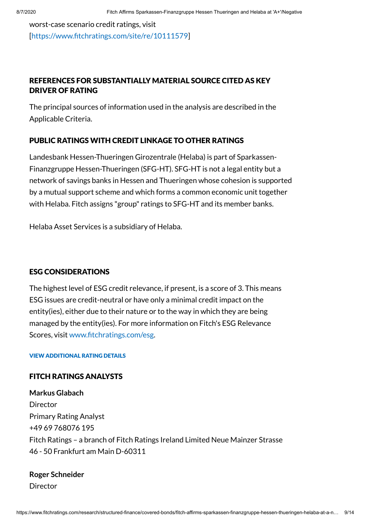worst-case scenario credit ratings, visit [<https://www.fitchratings.com/site/re/10111579>]

# REFERENCES FOR SUBSTANTIALLY MATERIAL SOURCE CITED AS KEY DRIVER OF RATING

The principal sources of information used in the analysis are described in the Applicable Criteria.

#### PUBLIC RATINGS WITH CREDIT LINKAGE TO OTHER RATINGS

Landesbank Hessen-Thueringen Girozentrale (Helaba) is part of Sparkassen-Finanzgruppe Hessen-Thueringen (SFG-HT). SFG-HT is not a legal entity but a network of savings banks in Hessen and Thueringen whose cohesion is supported by a mutual support scheme and which forms a common economic unit together with Helaba. Fitch assigns "group" ratings to SFG-HT and its member banks.

Helaba Asset Services is a subsidiary of Helaba.

#### ESG CONSIDERATIONS

The highest level of ESG credit relevance, if present, is a score of 3. This means ESG issues are credit-neutral or have only a minimal credit impact on the entity(ies), either due to their nature or to the way in which they are being managed by the entity(ies). For more information on Fitch's ESG Relevance Scores, visit [www.fitchratings.com/esg.](http://www.fitchratings.com/esg)

#### VIEW ADDITIONAL RATING DETAILS

#### FITCH RATINGS ANALYSTS

**Markus Glabach** Director Primary Rating Analyst +49 69 768076 195 Fitch Ratings – a branch of Fitch Ratings Ireland Limited Neue Mainzer Strasse 46 - 50 Frankfurt am Main D-60311

#### **Roger Schneider**

**Director**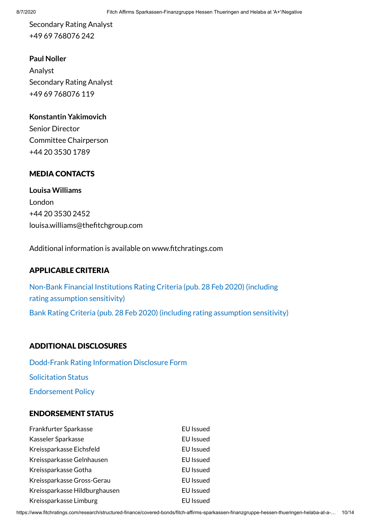Secondary Rating Analyst +49 69 768076 242

#### **Paul Noller**

Analyst Secondary Rating Analyst +49 69 768076 119

#### **Konstantin Yakimovich**

Senior Director Committee Chairperson +44 20 3530 1789

#### MEDIA CONTACTS

**Louisa Williams** London +44 20 3530 2452 louisa.williams@thefitchgroup.com

Additional information is available on www.fitchratings.com

#### APPLICABLE CRITERIA

Non-Bank Financial [Institutions](https://www.fitchratings.com/research/non-bank-financial-institutions/non-bank-financial-institutions-rating-criteria-28-02-2020) Rating Criteria (pub. 28 Feb 2020) (including rating assumption sensitivity) Bank Rating Criteria (pub. 28 Feb 2020) (including rating [assumption](https://www.fitchratings.com/research/banks/bank-rating-criteria-28-02-2020) sensitivity)

#### ADDITIONAL DISCLOSURES

[Dodd-Frank](https://www.fitchratings.com/research/structured-finance/covered-bonds/fitch-affirms-sparkassen-finanzgruppe-hessen-thueringen-helaba-at-a-negative-07-08-2020/dodd-frank-disclosure) Rating Information Disclosure Form [Solicitation](#page-12-0) Status [Endorsement](#page-13-0) Policy

#### ENDORSEMENT STATUS

| Frankfurter Sparkasse         | <b>EU</b> Issued |
|-------------------------------|------------------|
| Kasseler Sparkasse            | <b>EU</b> Issued |
| Kreissparkasse Eichsfeld      | <b>EU</b> Issued |
| Kreissparkasse Gelnhausen     | <b>EU</b> Issued |
| Kreissparkasse Gotha          | <b>EU</b> Issued |
| Kreissparkasse Gross-Gerau    | <b>EU</b> Issued |
| Kreissparkasse Hildburghausen | <b>EU</b> Issued |
| Kreissparkasse Limburg        | <b>FU</b> Issued |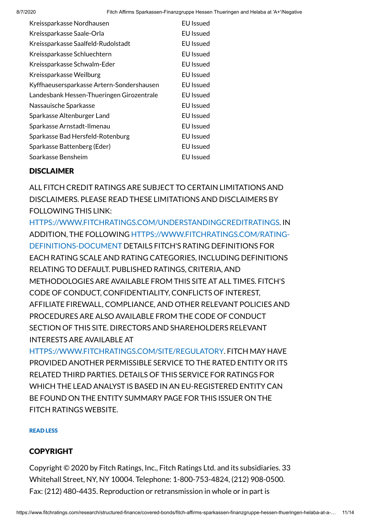8/7/2020 Fitch Affirms Sparkassen-Finanzgruppe Hessen Thueringen and Helaba at 'A+'/Negative

| Kreissparkasse Nordhausen                 | <b>FU</b> Issued |
|-------------------------------------------|------------------|
| Kreissparkasse Saale-Orla                 | <b>FU</b> Issued |
| Kreissparkasse Saalfeld-Rudolstadt        | <b>FU</b> Issued |
| Kreissparkasse Schluechtern               | <b>FU</b> Issued |
| Kreissparkasse Schwalm-Eder               | <b>FU</b> Issued |
| Kreissparkasse Weilburg                   | <b>FU</b> Issued |
| Kyffhaeusersparkasse Artern-Sondershausen | <b>FU</b> Issued |
| Landesbank Hessen-Thueringen Girozentrale | <b>FU</b> Issued |
| Nassauische Sparkasse                     | <b>FU</b> Issued |
| Sparkasse Altenburger Land                | <b>FU</b> Issued |
| Sparkasse Arnstadt-Ilmenau                | <b>FU</b> Issued |
| Sparkasse Bad Hersfeld-Rotenburg          | <b>FU</b> Issued |
| Sparkasse Battenberg (Eder)               | <b>FU</b> Issued |
| Sparkasse Bensheim                        | <b>FU Issued</b> |

#### DISCLAIMER

ALL FITCH CREDIT RATINGS ARE SUBJECT TO CERTAIN LIMITATIONS AND DISCLAIMERS. PLEASE READ THESE LIMITATIONS AND DISCLAIMERS BY FOLLOWING THIS LINK:

[HTTPS://WWW.FITCHRATINGS.COM/UNDERSTANDINGCREDITRATINGS](https://www.fitchratings.com/UNDERSTANDINGCREDITRATINGS). IN ADDITION, THE FOLLOWING [HTTPS://WWW.FITCHRATINGS.COM/RATING-](https://www.fitchratings.com/rating-definitions-document)DEFINITIONS-DOCUMENT DETAILS FITCH'S RATING DEFINITIONS FOR EACH RATING SCALE AND RATING CATEGORIES, INCLUDING DEFINITIONS RELATING TO DEFAULT. PUBLISHED RATINGS, CRITERIA, AND METHODOLOGIES ARE AVAILABLE FROM THIS SITE AT ALL TIMES. FITCH'S CODE OF CONDUCT, CONFIDENTIALITY, CONFLICTS OF INTEREST, AFFILIATE FIREWALL, COMPLIANCE, AND OTHER RELEVANT POLICIES AND PROCEDURES ARE ALSO AVAILABLE FROM THE CODE OF CONDUCT SECTION OF THIS SITE. DIRECTORS AND SHAREHOLDERS RELEVANT INTERESTS ARE AVAILABLE AT

[HTTPS://WWW.FITCHRATINGS.COM/SITE/REGULATORY](https://www.fitchratings.com/site/regulatory). FITCH MAY HAVE PROVIDED ANOTHER PERMISSIBLE SERVICE TO THE RATED ENTITY OR ITS RELATED THIRD PARTIES. DETAILS OF THIS SERVICE FOR RATINGS FOR WHICH THE LEAD ANALYST IS BASED IN AN EU-REGISTERED ENTITY CAN BE FOUND ON THE ENTITY SUMMARY PAGE FOR THIS ISSUER ON THE FITCH RATINGS WEBSITE.

#### READ LESS

# COPYRIGHT

Copyright © 2020 by Fitch Ratings, Inc., Fitch Ratings Ltd. and its subsidiaries. 33 Whitehall Street, NY, NY 10004. Telephone: 1-800-753-4824, (212) 908-0500. Fax: (212) 480-4435. Reproduction or retransmission in whole or in part is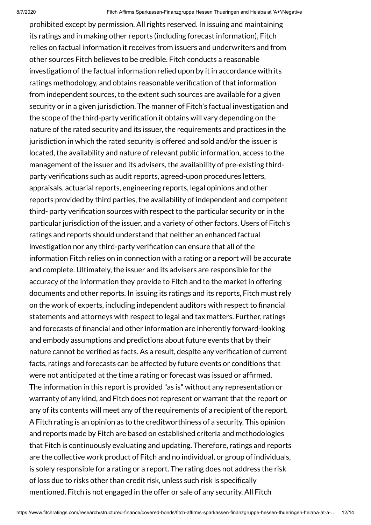prohibited except by permission. All rights reserved. In issuing and maintaining its ratings and in making other reports (including forecast information), Fitch relies on factual information it receives from issuers and underwriters and from other sources Fitch believes to be credible. Fitch conducts a reasonable investigation of the factual information relied upon by it in accordance with its ratings methodology, and obtains reasonable verification of that information from independent sources, to the extent such sources are available for a given security or in a given jurisdiction. The manner of Fitch's factual investigation and the scope of the third-party verification it obtains will vary depending on the nature of the rated security and its issuer, the requirements and practices in the jurisdiction in which the rated security is offered and sold and/or the issuer is located, the availability and nature of relevant public information, access to the management of the issuer and its advisers, the availability of pre-existing thirdparty verifications such as audit reports, agreed-upon procedures letters, appraisals, actuarial reports, engineering reports, legal opinions and other reports provided by third parties, the availability of independent and competent third- party verification sources with respect to the particular security or in the particular jurisdiction of the issuer, and a variety of other factors. Users of Fitch's ratings and reports should understand that neither an enhanced factual investigation nor any third-party verification can ensure that all of the information Fitch relies on in connection with a rating or a report will be accurate and complete. Ultimately, the issuer and its advisers are responsible for the accuracy of the information they provide to Fitch and to the market in offering documents and other reports. In issuing its ratings and its reports, Fitch must rely on the work of experts, including independent auditors with respect to financial statements and attorneys with respect to legal and tax matters. Further, ratings and forecasts of financial and other information are inherently forward-looking and embody assumptions and predictions about future events that by their nature cannot be verified as facts. As a result, despite any verification of current facts, ratings and forecasts can be affected by future events or conditions that were not anticipated at the time a rating or forecast was issued or affirmed. The information in this report is provided "as is" without any representation or warranty of any kind, and Fitch does not represent or warrant that the report or any of its contents will meet any of the requirements of a recipient of the report. A Fitch rating is an opinion as to the creditworthiness of a security. This opinion and reports made by Fitch are based on established criteria and methodologies that Fitch is continuously evaluating and updating. Therefore, ratings and reports are the collective work product of Fitch and no individual, or group of individuals, is solely responsible for a rating or a report. The rating does not address the risk of loss due to risks other than credit risk, unless such risk is specifically mentioned. Fitch is not engaged in the offer or sale of any security. All Fitch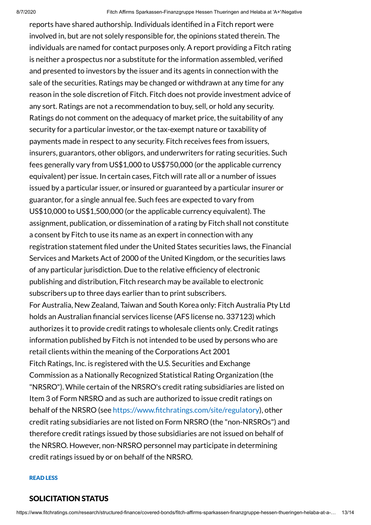reports have shared authorship. Individuals identified in a Fitch report were involved in, but are not solely responsible for, the opinions stated therein. The individuals are named for contact purposes only. A report providing a Fitch rating is neither a prospectus nor a substitute for the information assembled, verified and presented to investors by the issuer and its agents in connection with the sale of the securities. Ratings may be changed or withdrawn at any time for any reason in the sole discretion of Fitch. Fitch does not provide investment advice of any sort. Ratings are not a recommendation to buy, sell, or hold any security. Ratings do not comment on the adequacy of market price, the suitability of any security for a particular investor, or the tax-exempt nature or taxability of payments made in respect to any security. Fitch receives fees from issuers, insurers, guarantors, other obligors, and underwriters for rating securities. Such fees generally vary from US\$1,000 to US\$750,000 (or the applicable currency equivalent) per issue. In certain cases, Fitch will rate all or a number of issues issued by a particular issuer, or insured or guaranteed by a particular insurer or guarantor, for a single annual fee. Such fees are expected to vary from US\$10,000 to US\$1,500,000 (or the applicable currency equivalent). The assignment, publication, or dissemination of a rating by Fitch shall not constitute a consent by Fitch to use its name as an expert in connection with any registration statement filed under the United States securities laws, the Financial Services and Markets Act of 2000 of the United Kingdom, or the securities laws of any particular jurisdiction. Due to the relative efficiency of electronic publishing and distribution, Fitch research may be available to electronic subscribers up to three days earlier than to print subscribers. For Australia, New Zealand, Taiwan and South Korea only: Fitch Australia Pty Ltd holds an Australian financial services license (AFS license no. 337123) which authorizes it to provide credit ratings to wholesale clients only. Credit ratings information published by Fitch is not intended to be used by persons who are retail clients within the meaning of the Corporations Act 2001 Fitch Ratings, Inc. is registered with the U.S. Securities and Exchange Commission as a Nationally Recognized Statistical Rating Organization (the "NRSRO"). While certain of the NRSRO's credit rating subsidiaries are listed on Item 3 of Form NRSRO and as such are authorized to issue credit ratings on behalf of the NRSRO (see <https://www.fitchratings.com/site/regulatory>), other credit rating subsidiaries are not listed on Form NRSRO (the "non-NRSROs") and therefore credit ratings issued by those subsidiaries are not issued on behalf of the NRSRO. However, non-NRSRO personnel may participate in determining credit ratings issued by or on behalf of the NRSRO.

#### READ LESS

#### <span id="page-12-0"></span>SOLICITATION STATUS